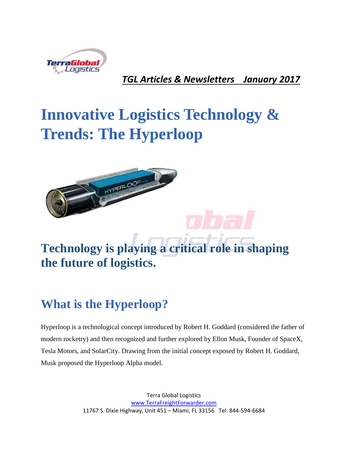

*TGL Articles & Newsletters January 2017*

# **Innovative Logistics Technology & Trends: The Hyperloop**



**Technology is playing a critical role in shaping [the future of logistics.](http://articles.cyzerg.com/infographic-emerging-technology-shaping-the-future-of-logistics)**

# **What is the Hyperloop?**

Hyperloop is a technological concept introduced by [Robert H. Goddard](https://en.wikipedia.org/wiki/Robert_H._Goddard) (considered the father of modern rocketry) and then recognized and further explored by Ellon Musk, Founder of SpaceX, Tesla Motors, and SolarCity. Drawing from the initial concept exposed by Robert H. Goddard, Musk proposed the [Hyperloop Alpha](http://www.spacex.com/sites/spacex/files/hyperloop_alpha-20130812.pdf) model.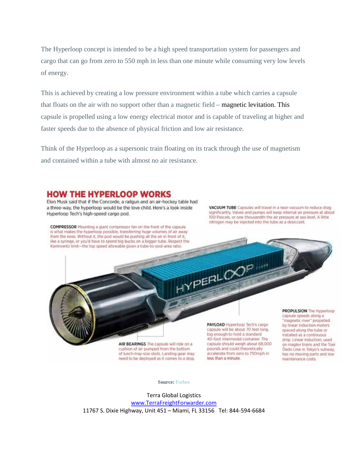The Hyperloop concept is intended to be a high speed transportation system for passengers and cargo that can go from zero to 550 mph in less than one minute while consuming very low levels of energy.

This is achieved by creating a low pressure environment within a tube which carries a capsule that floats on the air with no support other than a magnetic field – [magnetic levitation.](https://en.wikipedia.org/wiki/Magnetic_levitation) This capsule is propelled using a low energy electrical motor and is capable of traveling at higher and faster speeds due to the absence of physical friction and low air resistance.

Think of the Hyperloop as a supersonic train floating on its track through the use of magnetism and contained within a tube with almost no air resistance.

#### **HOW THE HYPERLOOP WORKS**

Elon Musk said that if the Concorde, a railgun and an air-hockey table had a three-way, the hyperloop would be the love child. Here's a look inside Hyperloop Tech's high-speed cargo pod.

**COMPRESSOR** Mounting a giant compressor fan on the front of the capsule is what makes the hyperloop possible, transferring huge volumes of air away from the nose. Without it, the pod would be pushing all the air in front of it, like a syringe, or you'd have to spend big bucks on a bigger tube. Respect the Kantrowitz limit-the top speed allowable given a tube-to-pod-area ratio.

VACUUM TUBE Cansules will travel in a near-vacuum to reduce drag significantly. Valves and pumps will keep internal air pressure at about 100 Pascals, or one-thousandth the air pressure at sea level. A little nitrogen may be injected into the tube as a desiccant.

AIR BEARINGS The capsule will ride on a cushion of air pumped from the bottom of lunch-tray-size sleds. Landing gear may need to be deployed as it comes to a stop.

PAYLOAD Hyperloop Tech's cargo capsule will be about 70 feet long, big enough to hold a standard 40-foot intermodal container. The capsule should weigh about 68,000 pounds and could theoretically accelerate from zero to 750mph in less than a minute.

HYPERLOX

PROPULSION The Hyperloop capsule speeds along a "magnetic river" propelled by linear induction motors spaced along the tube or installed as a continuous. strip, Linear induction, used on maglev trains and the Toei Oedo Line in Tokyo's subway, has no moving parts and low maintenance costs.

**Source:** [Forbes](http://blogs-images.forbes.com/bruceupbin/files/2015/02/0210_hyperloop-diagram_1200.jpg)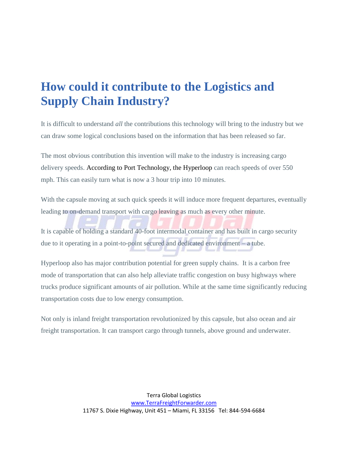### **How could it contribute to the Logistics and Supply Chain Industry?**

It is difficult to understand *all* the contributions this technology will bring to the industry but we can draw some logical conclusions based on the information that has been released so far.

The most obvious contribution this invention will make to the industry is increasing cargo delivery speeds. According to [Port Technology,](https://www.porttechnology.org/news/hyperloop_the_future_of_cargo_transport) the Hyperloop can reach speeds of over 550 mph. This can easily turn what is now a 3 hour trip into 10 minutes.

With the capsule moving at such quick speeds it will induce more frequent departures, eventually leading to on-demand transport with cargo leaving as much as every other minute.

It is capable of holding a standard 40-foot intermodal container and has built in cargo security due to it operating in a point-to-point secured and dedicated environment – a tube.

Hyperloop also has major contribution potential for green supply chains. It is a carbon free mode of transportation that can also help alleviate traffic congestion on busy highways where trucks produce significant amounts of air pollution. While at the same time significantly reducing transportation costs due to low energy consumption.

Not only is inland freight transportation revolutionized by this capsule, but also ocean and air freight transportation. It can transport cargo through tunnels, above ground and underwater.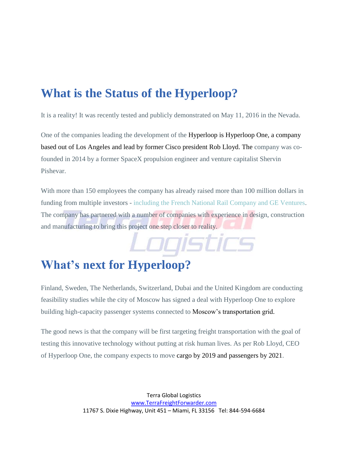## **What is the Status of the Hyperloop?**

It is a reality! It was recently tested and publicly demonstrated on May 11, 2016 in the Nevada.

One of the companies leading the development of the Hyperloop is [Hyperloop One,](https://hyperloop-one.com/) a company based out of Los Angeles and lead by former Cisco president Rob Lloyd. The company was cofounded in 2014 by a former SpaceX propulsion engineer and venture capitalist Shervin Pishevar.

With more than 150 employees the company has already raised more than 100 million dollars in funding from multiple investors - [including the French National Rail Company and GE Ventures.](https://techcrunch.com/2016/05/10/hyperloop-technologies-becomes-hyperloop-one-pulls-in-80-million-and-announces-global-partners/) The company has partnered with a number of companies with experience in design, construction and manufacturing to bring this project one step closer to reality.

Logistics

# **What's next for Hyperloop?**

Finland, Sweden, The Netherlands, Switzerland, Dubai and the United Kingdom are conducting feasibility studies while the city of Moscow has signed a deal with Hyperloop One to explore building high-capacity passenger systems connected to [Moscow's transportation grid.](http://venturebeat.com/2016/06/21/hyperloop-one-parners-with-moscow-for-high-speed-transport-projects/)

The good news is that the company will be first targeting freight transportation with the goal of testing this innovative technology without putting at risk human lives. As per Rob Lloyd, CEO of Hyperloop One, the company expects to move [cargo by 2019 and passengers by 2021.](http://www.usatoday.com/story/tech/news/2016/05/11/hyperloop-one-debuts-future-tech-nevada-desert/84236120/)